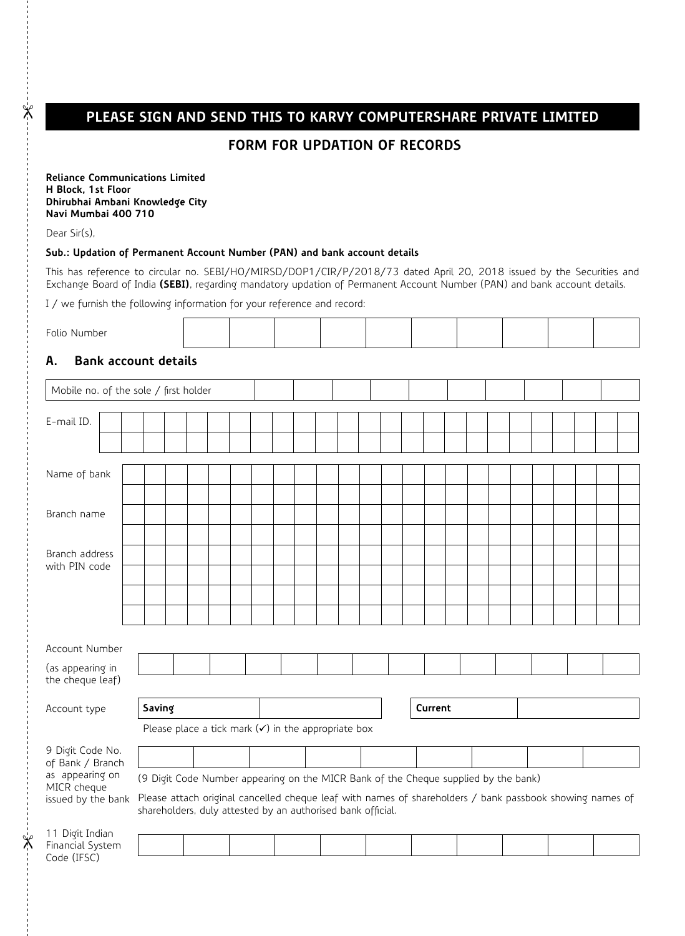# **PLEASE SIGN AND SEND THIS TO KARVY COMPUTERSHARE PRIVATE LIMITED**

## **Form for updation of Records**

**Reliance Communications Limited H Block, 1st Floor Dhirubhai Ambani Knowledge City Navi Mumbai 400 710**

Dear Sir(s),

 $\mathbb{X}$ 

 $\mathbb{X}$ 

### **Sub.: Updation of Permanent Account Number (PAN) and bank account details**

This has reference to circular no. SEBI/HO/MIRSD/DOP1/CIR/P/2018/73 dated April 20, 2018 issued by the Securities and Exchange Board of India **(SEBI)**, regarding mandatory updation of Permanent Account Number (PAN) and bank account details.

I / we furnish the following information for your reference and record:

| Folio<br>ىن |
|-------------|
|-------------|

## **A. Bank account details**

| Mobile no. of the sole / first holder |                                                                                                                                                                         |  |  |  |  |  |  |  |  |  |  |  |  |         |  |  |  |  |  |  |  |
|---------------------------------------|-------------------------------------------------------------------------------------------------------------------------------------------------------------------------|--|--|--|--|--|--|--|--|--|--|--|--|---------|--|--|--|--|--|--|--|
| E-mail ID.                            |                                                                                                                                                                         |  |  |  |  |  |  |  |  |  |  |  |  |         |  |  |  |  |  |  |  |
|                                       |                                                                                                                                                                         |  |  |  |  |  |  |  |  |  |  |  |  |         |  |  |  |  |  |  |  |
| Name of bank                          |                                                                                                                                                                         |  |  |  |  |  |  |  |  |  |  |  |  |         |  |  |  |  |  |  |  |
|                                       |                                                                                                                                                                         |  |  |  |  |  |  |  |  |  |  |  |  |         |  |  |  |  |  |  |  |
| Branch name                           |                                                                                                                                                                         |  |  |  |  |  |  |  |  |  |  |  |  |         |  |  |  |  |  |  |  |
| Branch address                        |                                                                                                                                                                         |  |  |  |  |  |  |  |  |  |  |  |  |         |  |  |  |  |  |  |  |
| with PIN code                         |                                                                                                                                                                         |  |  |  |  |  |  |  |  |  |  |  |  |         |  |  |  |  |  |  |  |
|                                       |                                                                                                                                                                         |  |  |  |  |  |  |  |  |  |  |  |  |         |  |  |  |  |  |  |  |
|                                       |                                                                                                                                                                         |  |  |  |  |  |  |  |  |  |  |  |  |         |  |  |  |  |  |  |  |
| Account Number                        |                                                                                                                                                                         |  |  |  |  |  |  |  |  |  |  |  |  |         |  |  |  |  |  |  |  |
| (as appearing in<br>the cheque leaf)  |                                                                                                                                                                         |  |  |  |  |  |  |  |  |  |  |  |  |         |  |  |  |  |  |  |  |
| Account type                          | Saving                                                                                                                                                                  |  |  |  |  |  |  |  |  |  |  |  |  | Current |  |  |  |  |  |  |  |
|                                       | Please place a tick mark $(\checkmark)$ in the appropriate box                                                                                                          |  |  |  |  |  |  |  |  |  |  |  |  |         |  |  |  |  |  |  |  |
| 9 Digit Code No.<br>of Bank / Branch  |                                                                                                                                                                         |  |  |  |  |  |  |  |  |  |  |  |  |         |  |  |  |  |  |  |  |
| as appearing on<br>MICR cheque        | (9 Digit Code Number appearing on the MICR Bank of the Cheque supplied by the bank)                                                                                     |  |  |  |  |  |  |  |  |  |  |  |  |         |  |  |  |  |  |  |  |
| issued by the bank                    | Please attach original cancelled cheque leaf with names of shareholders / bank passbook showing names of<br>shareholders, duly attested by an authorised bank official. |  |  |  |  |  |  |  |  |  |  |  |  |         |  |  |  |  |  |  |  |
| 11 Digit Indian<br>Financial System   |                                                                                                                                                                         |  |  |  |  |  |  |  |  |  |  |  |  |         |  |  |  |  |  |  |  |
| Code (IFSC)                           |                                                                                                                                                                         |  |  |  |  |  |  |  |  |  |  |  |  |         |  |  |  |  |  |  |  |